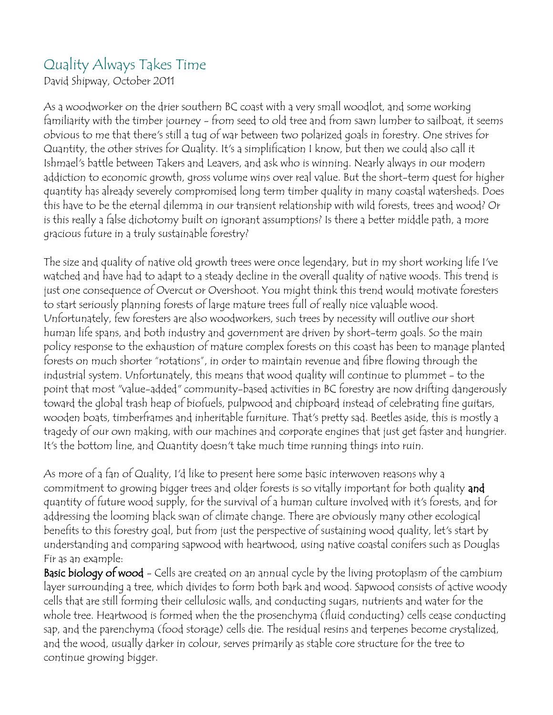## Quality Always Takes Time

David Shipway, October 2011

As a woodworker on the drier southern BC coast with a very small woodlot, and some working familiarity with the timber journey - from seed to old tree and from sawn lumber to sailboat, it seems obvious to me that there's still a tug of war between two polarized goals in forestry. One strives for Quantity, the other strives for Quality. It's a simplification I know, but then we could also call it Ishmael's battle between Takers and Leavers, and ask who is winning. Nearly always in our modern addiction to economic growth, gross volume wins over real value. But the short-term quest for higher quantity has already severely compromised long term timber quality in many coastal watersheds. Does this have to be the eternal dilemma in our transient relationship with wild forests, trees and wood? Or is this really a false dichotomy built on ignorant assumptions? Is there a better middle path, a more gracious future in a truly sustainable forestry?

The size and quality of native old growth trees were once legendary, but in my short working life I've watched and have had to adapt to a steady decline in the overall quality of native woods. This trend is just one consequence of Overcut or Overshoot. You might think this trend would motivate foresters to start seriously planning forests of large mature trees full of really nice valuable wood. Unfortunately, few foresters are also woodworkers, such trees by necessity will outlive our short human life spans, and both industry and government are driven by short-term goals. So the main policy response to the exhaustion of mature complex forests on this coast has been to manage planted forests on much shorter "rotations", in order to maintain revenue and fibre flowing through the industrial system. Unfortunately, this means that wood quality will continue to plummet - to the point that most "value-added" community-based activities in BC forestry are now drifting dangerously toward the global trash heap of biofuels, pulpwood and chipboard instead of celebrating fine guitars, wooden boats, timberframes and inheritable furniture. That's pretty sad. Beetles aside, this is mostly a tragedy of our own making, with our machines and corporate engines that just get faster and hungrier. It's the bottom line, and Quantity doesn't take much time running things into ruin.

As more of a fan of Quality, I'd like to present here some basic interwoven reasons why a commitment to growing bigger trees and older forests is so vitally important for both quality and quantity of future wood supply, for the survival of a human culture involved with it's forests, and for addressing the looming black swan of climate change. There are obviously many other ecological benefits to this forestry goal, but from just the perspective of sustaining wood quality, let's start by understanding and comparing sapwood with heartwood, using native coastal conifers such as Douglas Fir as an example:

Basic biology of wood - Cells are created on an annual cycle by the living protoplasm of the cambium layer surrounding a tree, which divides to form both bark and wood. Sapwood consists of active woody cells that are still forming their cellulosic walls, and conducting sugars, nutrients and water for the whole tree. Heartwood is formed when the the prosenchyma (fluid conducting) cells cease conducting sap, and the parenchyma (food storage) cells die. The residual resins and terpenes become crystalized, and the wood, usually darker in colour, serves primarily as stable core structure for the tree to continue growing bigger.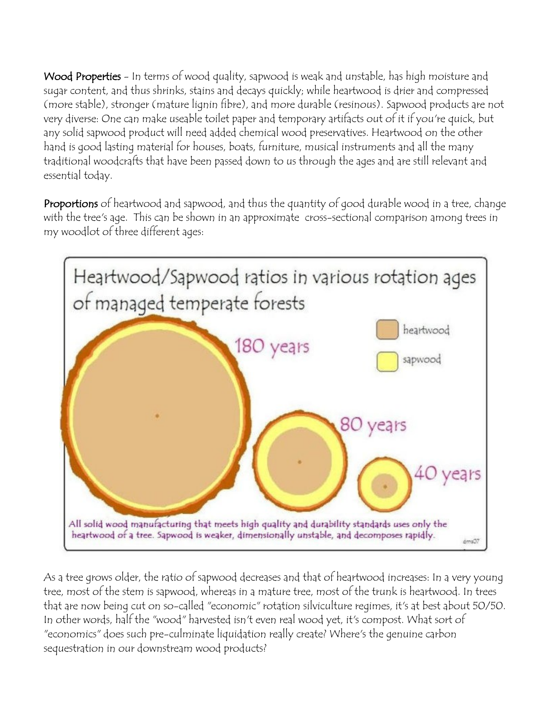Wood Properties - In terms of wood quality, sapwood is weak and unstable, has high moisture and sugar content, and thus shrinks, stains and decays quickly; while heartwood is drier and compressed (more stable), stronger (mature lignin fibre), and more durable (resinous). Sapwood products are not very diverse: One can make useable toilet paper and temporary artifacts out of it if you're quick, but any solid sapwood product will need added chemical wood preservatives. Heartwood on the other hand is good lasting material for houses, boats, furniture, musical instruments and all the many traditional woodcrafts that have been passed down to us through the ages and are still relevant and essential today.

Proportions of heartwood and sapwood, and thus the quantity of good durable wood in a tree, change with the tree's age. This can be shown in an approximate cross-sectional comparison among trees in my woodlot of three different ages:



As a tree grows older, the ratio of sapwood decreases and that of heartwood increases: In a very young tree, most of the stem is sapwood, whereas in a mature tree, most of the trunk is heartwood. In trees that are now being cut on so-called "economic" rotation silviculture regimes, it's at best about 50/50. In other words, half the "wood" harvested isn't even real wood yet, it's compost. What sort of "economics" does such pre-culminate liquidation really create? Where's the genuine carbon sequestration in our downstream wood products?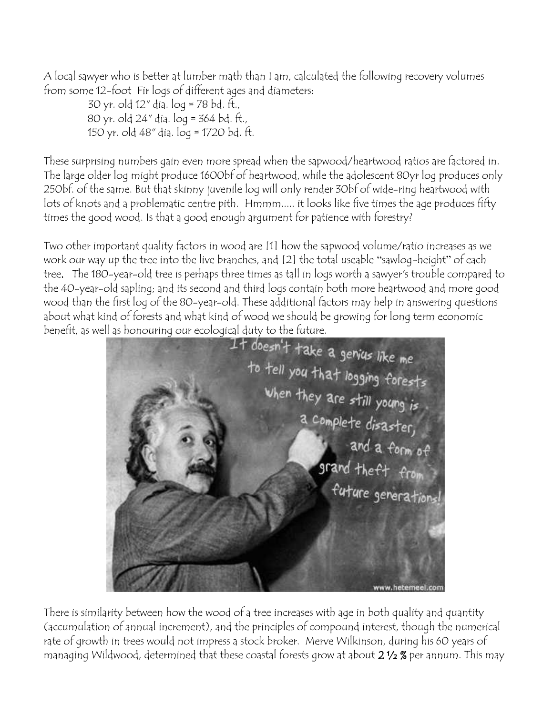A local sawyer who is better at lumber math than I am, calculated the following recovery volumes from some 12-foot Fir logs of different ages and diameters:

30 yr. old 12" dia. log = 78 bd. ft., 80 yr. old 24" dia. log = 364 bd. ft., 150 yr. old 48" dia. log = 1720 bd. ft.

These surprising numbers gain even more spread when the sapwood/heartwood ratios are factored in. The large older log might produce 1600bf of heartwood, while the adolescent 80yr log produces only 250bf. of the same. But that skinny juvenile log will only render 30bf of wide-ring heartwood with lots of knots and a problematic centre pith. Hmmm..... it looks like five times the age produces fifty times the good wood. Is that a good enough argument for patience with forestry?

Two other important quality factors in wood are [1] how the sapwood volume/ratio increases as we work our way up the tree into the live branches, and [2] the total useable "sawlog-height" of each tree. The 180-year-old tree is perhaps three times as tall in logs worth a sawyer's trouble compared to the 40-year-old sapling; and its second and third logs contain both more heartwood and more good wood than the first log of the 80-year-old. These additional factors may help in answering questions about what kind of forests and what kind of wood we should be growing for long term economic



There is similarity between how the wood of a tree increases with age in both quality and quantity (accumulation of annual increment), and the principles of compound interest, though the numerical rate of growth in trees would not impress a stock broker. Merve Wilkinson, during his 60 years of managing Wildwood, determined that these coastal forests grow at about  $2\frac{1}{2}\%$  per annum. This may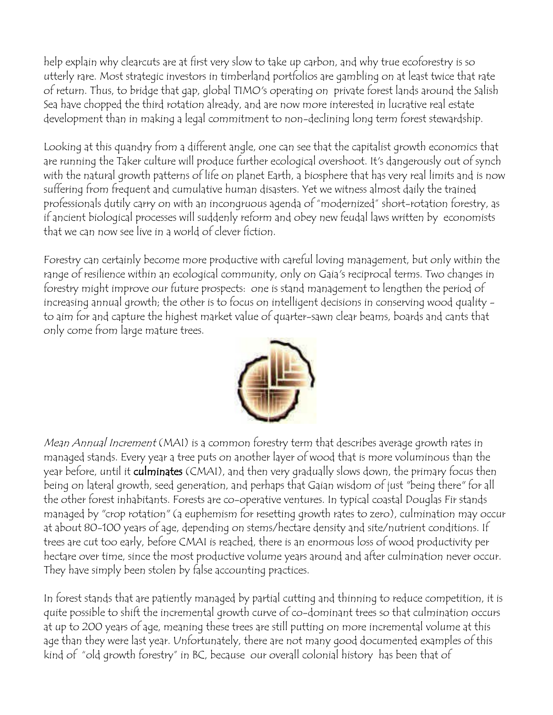help explain why clearcuts are at first very slow to take up carbon, and why true ecoforestry is so utterly rare. Most strategic investors in timberland portfolios are gambling on at least twice that rate of return. Thus, to bridge that gap, global TIMO's operating on private forest lands around the Salish Sea have chopped the third rotation already, and are now more interested in lucrative real estate development than in making a legal commitment to non-declining long term forest stewardship.

Looking at this quandry from a different angle, one can see that the capitalist growth economics that are running the Taker culture will produce further ecological overshoot. It's dangerously out of synch with the natural growth patterns of life on planet Earth, a biosphere that has very real limits and is now suffering from frequent and cumulative human disasters. Yet we witness almost daily the trained professionals dutily carry on with an incongruous agenda of "modernized" short-rotation forestry, as if ancient biological processes will suddenly reform and obey new feudal laws written by economists that we can now see live in a world of clever fiction.

Forestry can certainly become more productive with careful loving management, but only within the range of resilience within an ecological community, only on Gaia's reciprocal terms. Two changes in forestry might improve our future prospects: one is stand management to lengthen the period of increasing annual growth; the other is to focus on intelligent decisions in conserving wood quality to aim for and capture the highest market value of quarter-sawn clear beams, boards and cants that only come from large mature trees.



Mean Annual Increment (MAI) is a common forestry term that describes average growth rates in managed stands. Every year a tree puts on another layer of wood that is more voluminous than the year before, until it **culminates** (CMAI), and then very gradually slows down, the primary focus then being on lateral growth, seed generation, and perhaps that Gaian wisdom of just "being there" for all the other forest inhabitants. Forests are co-operative ventures. In typical coastal Douglas Fir stands managed by "crop rotation" (a euphemism for resetting growth rates to zero), culmination may occur at about 80-100 years of age, depending on stems/hectare density and site/nutrient conditions. If trees are cut too early, before CMAI is reached, there is an enormous loss of wood productivity per hectare over time, since the most productive volume years around and after culmination never occur. They have simply been stolen by false accounting practices.

In forest stands that are patiently managed by partial cutting and thinning to reduce competition, it is quite possible to shift the incremental growth curve of co-dominant trees so that culmination occurs at up to 200 years of age, meaning these trees are still putting on more incremental volume at this age than they were last year. Unfortunately, there are not many good documented examples of this kind of "old growth forestry" in BC, because our overall colonial history has been that of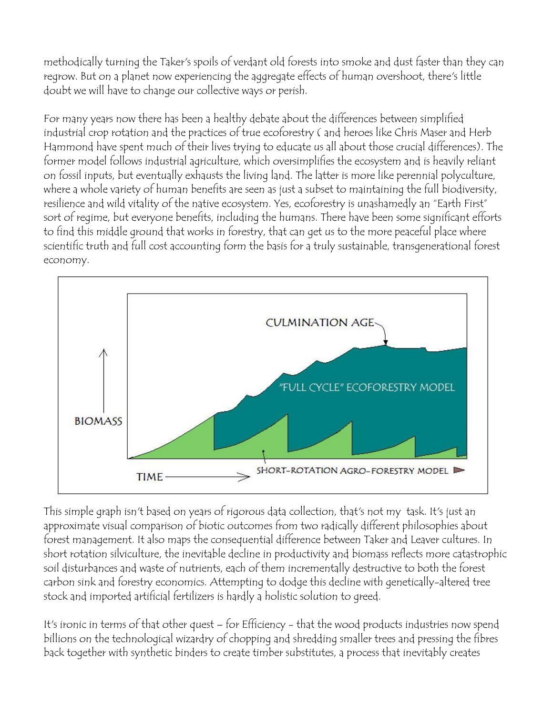methodically turning the Taker's spoils of verdant old forests into smoke and dust faster than they can regrow. But on a planet now experiencing the aggregate effects of human overshoot, there's little doubt we will have to change our collective ways or perish.

For many years now there has been a healthy debate about the differences between simplified industrial crop rotation and the practices of true ecoforestry ( and heroes like Chris Maser and Herb Hammond have spent much of their lives trying to educate us all about those crucial differences). The former model follows industrial agriculture, which oversimplifies the ecosystem and is heavily reliant on fossil inputs, but eventually exhausts the living land. The latter is more like perennial polyculture, where a whole variety of human benefits are seen as just a subset to maintaining the full biodiversity, resilience and wild vitality of the native ecosystem. Yes, ecoforestry is unashamedly an "Earth First" sort of regime, but everyone benefits, including the humans. There have been some significant efforts to find this middle ground that works in forestry, that can get us to the more peaceful place where scientific truth and full cost accounting form the basis for a truly sustainable, transgenerational forest economy.



This simple graph isn't based on years of rigorous data collection, that's not my task. It's just an approximate visual comparison of biotic outcomes from two radically different philosophies about forest management. It also maps the consequential difference between Taker and Leaver cultures. In short rotation silviculture, the inevitable decline in productivity and biomass reflects more catastrophic soil disturbances and waste of nutrients, each of them incrementally destructive to both the forest carbon sink and forestry economics. Attempting to dodge this decline with genetically-altered tree stock and imported artificial fertilizers is hardly a holistic solution to greed.

It's ironic in terms of that other quest – for Efficiency - that the wood products industries now spend billions on the technological wizardry of chopping and shredding smaller trees and pressing the fibres back together with synthetic binders to create timber substitutes, a process that inevitably creates